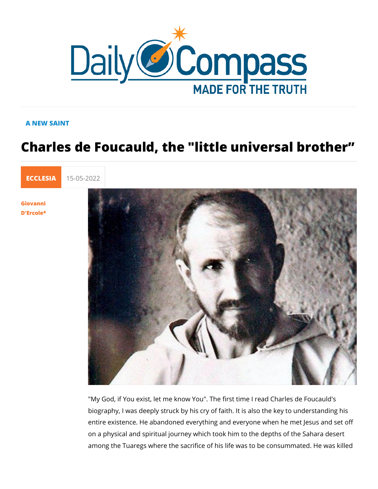## A NEW SAINT

## Charles de Foucauld, the "little univer

[ECCLE](https://newdailycompass.com/en/ecclesia)S 15-05-2022

[Giovan](/en/giovanni-dercole)ni [D'Erco](/en/giovanni-dercole)le\*

> "My God, if You exist, let me know You". The first time I read biography, I was deeply struck by his cry of faith. It is also th entire existence. He abandoned everything and everyone when on a physical and spiritual journey which took him to the deptl among the Tuaregs where the sacrifice of his life was to be co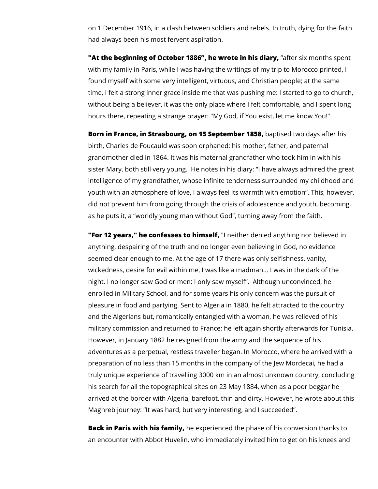on 1 December 1916, in a clash between soldiers and rebels. In truth, dying for the faith had always been his most fervent aspiration.

**"At the beginning of October 1886", he wrote in his diary,** "after six months spent with my family in Paris, while I was having the writings of my trip to Morocco printed, I found myself with some very intelligent, virtuous, and Christian people; at the same time, I felt a strong inner grace inside me that was pushing me: I started to go to church, without being a believer, it was the only place where I felt comfortable, and I spent long hours there, repeating a strange prayer: "My God, if You exist, let me know You!"

**Born in France, in Strasbourg, on 15 September 1858,** baptised two days after his birth, Charles de Foucauld was soon orphaned: his mother, father, and paternal grandmother died in 1864. It was his maternal grandfather who took him in with his sister Mary, both still very young. He notes in his diary: "I have always admired the great intelligence of my grandfather, whose infinite tenderness surrounded my childhood and youth with an atmosphere of love, I always feel its warmth with emotion". This, however, did not prevent him from going through the crisis of adolescence and youth, becoming, as he puts it, a "worldly young man without God", turning away from the faith.

**"For 12 years," he confesses to himself,** "I neither denied anything nor believed in anything, despairing of the truth and no longer even believing in God, no evidence seemed clear enough to me. At the age of 17 there was only selfishness, vanity, wickedness, desire for evil within me, I was like a madman... I was in the dark of the night. I no longer saw God or men: I only saw myself". Although unconvinced, he enrolled in Military School, and for some years his only concern was the pursuit of pleasure in food and partying. Sent to Algeria in 1880, he felt attracted to the country and the Algerians but, romantically entangled with a woman, he was relieved of his military commission and returned to France; he left again shortly afterwards for Tunisia. However, in January 1882 he resigned from the army and the sequence of his adventures as a perpetual, restless traveller began. In Morocco, where he arrived with a preparation of no less than 15 months in the company of the Jew Mordecai, he had a truly unique experience of travelling 3000 km in an almost unknown country, concluding his search for all the topographical sites on 23 May 1884, when as a poor beggar he arrived at the border with Algeria, barefoot, thin and dirty. However, he wrote about this Maghreb journey: "It was hard, but very interesting, and I succeeded".

**Back in Paris with his family,** he experienced the phase of his conversion thanks to an encounter with Abbot Huvelin, who immediately invited him to get on his knees and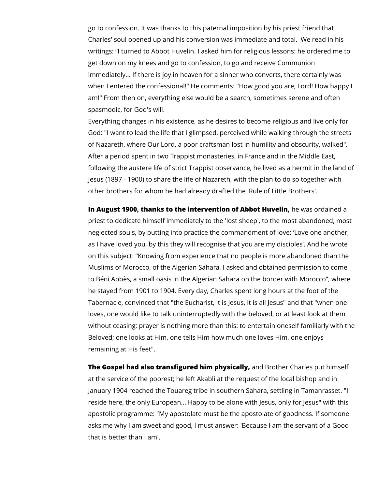go to confession. It was thanks to this paternal imposition by his priest friend that Charles' soul opened up and his conversion was immediate and total. We read in his writings: "I turned to Abbot Huvelin. I asked him for religious lessons: he ordered me to get down on my knees and go to confession, to go and receive Communion immediately... If there is joy in heaven for a sinner who converts, there certainly was when I entered the confessional!" He comments: "How good you are, Lord! How happy I am!" From then on, everything else would be a search, sometimes serene and often spasmodic, for God's will.

Everything changes in his existence, as he desires to become religious and live only for God: "I want to lead the life that I glimpsed, perceived while walking through the streets of Nazareth, where Our Lord, a poor craftsman lost in humility and obscurity, walked". After a period spent in two Trappist monasteries, in France and in the Middle East, following the austere life of strict Trappist observance, he lived as a hermit in the land of Jesus (1897 - 1900) to share the life of Nazareth, with the plan to do so together with other brothers for whom he had already drafted the 'Rule of Little Brothers'.

**In August 1900, thanks to the intervention of Abbot Huvelin,** he was ordained a priest to dedicate himself immediately to the 'lost sheep', to the most abandoned, most neglected souls, by putting into practice the commandment of love: 'Love one another, as I have loved you, by this they will recognise that you are my disciples'. And he wrote on this subject: "Knowing from experience that no people is more abandoned than the Muslims of Morocco, of the Algerian Sahara, I asked and obtained permission to come to Béni Abbès, a small oasis in the Algerian Sahara on the border with Morocco", where he stayed from 1901 to 1904. Every day, Charles spent long hours at the foot of the Tabernacle, convinced that "the Eucharist, it is Jesus, it is all Jesus" and that "when one loves, one would like to talk uninterruptedly with the beloved, or at least look at them without ceasing; prayer is nothing more than this: to entertain oneself familiarly with the Beloved; one looks at Him, one tells Him how much one loves Him, one enjoys remaining at His feet".

**The Gospel had also transfigured him physically,** and Brother Charles put himself at the service of the poorest; he left Akabli at the request of the local bishop and in January 1904 reached the Touareg tribe in southern Sahara, settling in Tamanrasset. "I reside here, the only European... Happy to be alone with Jesus, only for Jesus" with this apostolic programme: "My apostolate must be the apostolate of goodness. If someone asks me why I am sweet and good, I must answer: 'Because I am the servant of a Good that is better than I am'.